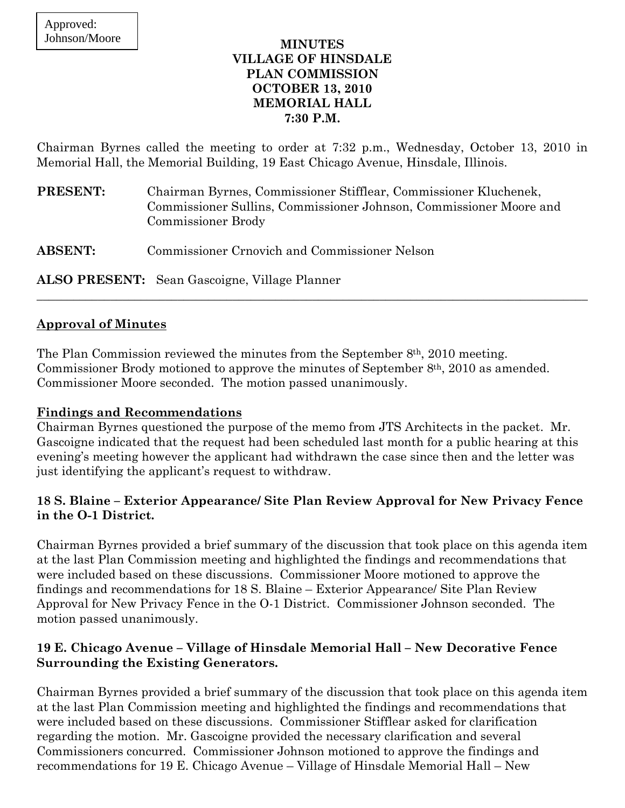#### **MINUTES VILLAGE OF HINSDALE PLAN COMMISSION OCTOBER 13, 2010 MEMORIAL HALL 7:30 P.M.**

Chairman Byrnes called the meeting to order at 7:32 p.m., Wednesday, October 13, 2010 in Memorial Hall, the Memorial Building, 19 East Chicago Avenue, Hinsdale, Illinois.

| <b>PRESENT:</b> | Chairman Byrnes, Commissioner Stifflear, Commissioner Kluchenek,<br>Commissioner Sullins, Commissioner Johnson, Commissioner Moore and<br>Commissioner Brody |
|-----------------|--------------------------------------------------------------------------------------------------------------------------------------------------------------|
| <b>ABSENT:</b>  | Commissioner Crnovich and Commissioner Nelson                                                                                                                |

 $\_$  , and the set of the set of the set of the set of the set of the set of the set of the set of the set of the set of the set of the set of the set of the set of the set of the set of the set of the set of the set of th

**ALSO PRESENT:** Sean Gascoigne, Village Planner

#### **Approval of Minutes**

The Plan Commission reviewed the minutes from the September 8<sup>th</sup>, 2010 meeting. Commissioner Brody motioned to approve the minutes of September 8th, 2010 as amended. Commissioner Moore seconded. The motion passed unanimously.

#### **Findings and Recommendations**

Chairman Byrnes questioned the purpose of the memo from JTS Architects in the packet. Mr. Gascoigne indicated that the request had been scheduled last month for a public hearing at this evening's meeting however the applicant had withdrawn the case since then and the letter was just identifying the applicant's request to withdraw.

#### **18 S. Blaine – Exterior Appearance/ Site Plan Review Approval for New Privacy Fence in the O-1 District.**

Chairman Byrnes provided a brief summary of the discussion that took place on this agenda item at the last Plan Commission meeting and highlighted the findings and recommendations that were included based on these discussions. Commissioner Moore motioned to approve the findings and recommendations for 18 S. Blaine – Exterior Appearance/ Site Plan Review Approval for New Privacy Fence in the O-1 District. Commissioner Johnson seconded. The motion passed unanimously.

### **19 E. Chicago Avenue – Village of Hinsdale Memorial Hall – New Decorative Fence Surrounding the Existing Generators.**

Chairman Byrnes provided a brief summary of the discussion that took place on this agenda item at the last Plan Commission meeting and highlighted the findings and recommendations that were included based on these discussions. Commissioner Stifflear asked for clarification regarding the motion. Mr. Gascoigne provided the necessary clarification and several Commissioners concurred. Commissioner Johnson motioned to approve the findings and recommendations for 19 E. Chicago Avenue – Village of Hinsdale Memorial Hall – New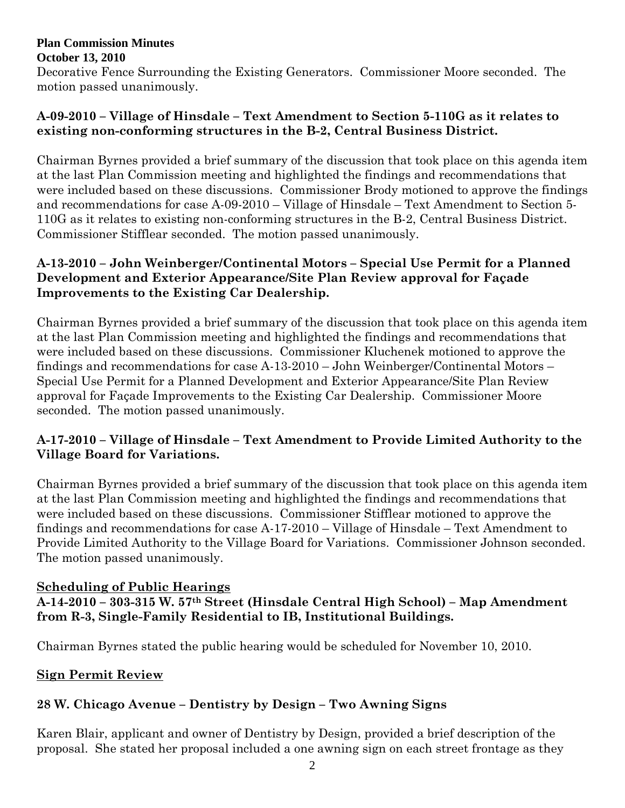#### **Plan Commission Minutes October 13, 2010**

Decorative Fence Surrounding the Existing Generators. Commissioner Moore seconded. The motion passed unanimously.

### **A-09-2010 – Village of Hinsdale – Text Amendment to Section 5-110G as it relates to existing non-conforming structures in the B-2, Central Business District.**

Chairman Byrnes provided a brief summary of the discussion that took place on this agenda item at the last Plan Commission meeting and highlighted the findings and recommendations that were included based on these discussions. Commissioner Brody motioned to approve the findings and recommendations for case A-09-2010 – Village of Hinsdale – Text Amendment to Section 5- 110G as it relates to existing non-conforming structures in the B-2, Central Business District. Commissioner Stifflear seconded. The motion passed unanimously.

#### **A-13-2010 – John Weinberger/Continental Motors – Special Use Permit for a Planned Development and Exterior Appearance/Site Plan Review approval for Façade Improvements to the Existing Car Dealership.**

Chairman Byrnes provided a brief summary of the discussion that took place on this agenda item at the last Plan Commission meeting and highlighted the findings and recommendations that were included based on these discussions. Commissioner Kluchenek motioned to approve the findings and recommendations for case A-13-2010 – John Weinberger/Continental Motors – Special Use Permit for a Planned Development and Exterior Appearance/Site Plan Review approval for Façade Improvements to the Existing Car Dealership. Commissioner Moore seconded. The motion passed unanimously.

## **A-17-2010 – Village of Hinsdale – Text Amendment to Provide Limited Authority to the Village Board for Variations.**

Chairman Byrnes provided a brief summary of the discussion that took place on this agenda item at the last Plan Commission meeting and highlighted the findings and recommendations that were included based on these discussions. Commissioner Stifflear motioned to approve the findings and recommendations for case A-17-2010 – Village of Hinsdale – Text Amendment to Provide Limited Authority to the Village Board for Variations. Commissioner Johnson seconded. The motion passed unanimously.

## **Scheduling of Public Hearings**

**A-14-2010 – 303-315 W. 57th Street (Hinsdale Central High School) – Map Amendment from R-3, Single-Family Residential to IB, Institutional Buildings.** 

Chairman Byrnes stated the public hearing would be scheduled for November 10, 2010.

## **Sign Permit Review**

# **28 W. Chicago Avenue – Dentistry by Design – Two Awning Signs**

Karen Blair, applicant and owner of Dentistry by Design, provided a brief description of the proposal. She stated her proposal included a one awning sign on each street frontage as they